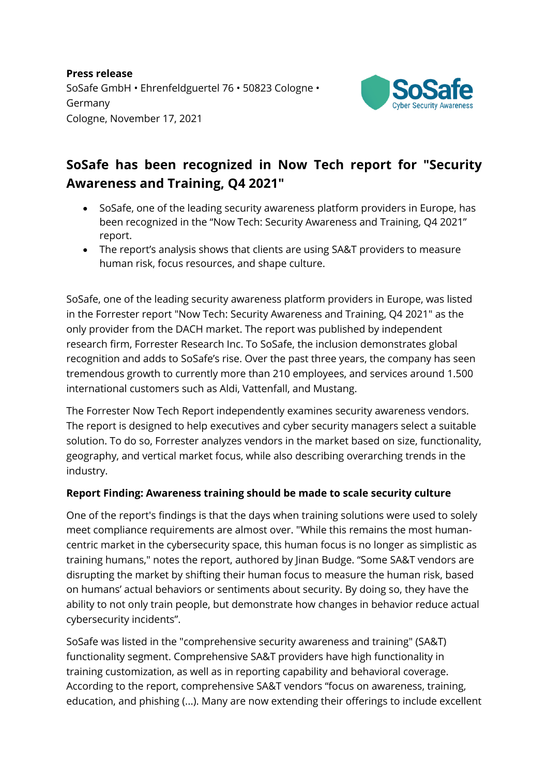**Press release** SoSafe GmbH • Ehrenfeldguertel 76 • 50823 Cologne • Germany Cologne, November 17, 2021



## **SoSafe has been recognized in Now Tech report for "Security Awareness and Training, Q4 2021"**

- SoSafe, one of the leading security awareness platform providers in Europe, has been recognized in the "Now Tech: Security Awareness and Training, Q4 2021" report.
- The report's analysis shows that clients are using SA&T providers to measure human risk, focus resources, and shape culture.

SoSafe, one of the leading security awareness platform providers in Europe, was listed in the Forrester report "Now Tech: Security Awareness and Training, Q4 2021" as the only provider from the DACH market. The report was published by independent research firm, Forrester Research Inc. To SoSafe, the inclusion demonstrates global recognition and adds to SoSafe's rise. Over the past three years, the company has seen tremendous growth to currently more than 210 employees, and services around 1.500 international customers such as Aldi, Vattenfall, and Mustang.

The Forrester Now Tech Report independently examines security awareness vendors. The report is designed to help executives and cyber security managers select a suitable solution. To do so, Forrester analyzes vendors in the market based on size, functionality, geography, and vertical market focus, while also describing overarching trends in the industry.

## **Report Finding: Awareness training should be made to scale security culture**

One of the report's findings is that the days when training solutions were used to solely meet compliance requirements are almost over. "While this remains the most humancentric market in the cybersecurity space, this human focus is no longer as simplistic as training humans," notes the report, authored by Jinan Budge. "Some SA&T vendors are disrupting the market by shifting their human focus to measure the human risk, based on humans' actual behaviors or sentiments about security. By doing so, they have the ability to not only train people, but demonstrate how changes in behavior reduce actual cybersecurity incidents".

SoSafe was listed in the "comprehensive security awareness and training" (SA&T) functionality segment. Comprehensive SA&T providers have high functionality in training customization, as well as in reporting capability and behavioral coverage. According to the report, comprehensive SA&T vendors "focus on awareness, training, education, and phishing (...). Many are now extending their offerings to include excellent